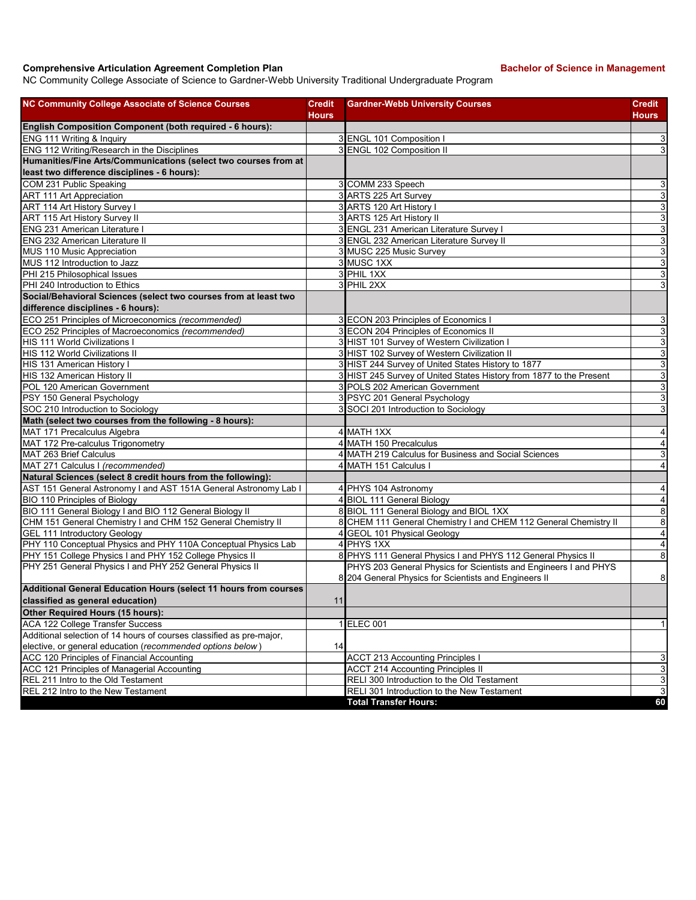## **Comprehensive Articulation Agreement Completion Plan Bachelor of Science in Management**

NC Community College Associate of Science to Gardner-Webb University Traditional Undergraduate Program

| <b>NC Community College Associate of Science Courses</b>             | <b>Credit</b><br><b>Hours</b> | <b>Gardner-Webb University Courses</b>                              | <b>Credit</b><br><b>Hours</b> |
|----------------------------------------------------------------------|-------------------------------|---------------------------------------------------------------------|-------------------------------|
| English Composition Component (both required - 6 hours):             |                               |                                                                     |                               |
| ENG 111 Writing & Inquiry                                            |                               | 3 ENGL 101 Composition I                                            | 3                             |
| ENG 112 Writing/Research in the Disciplines                          |                               | 3 ENGL 102 Composition II                                           | 3                             |
| Humanities/Fine Arts/Communications (select two courses from at      |                               |                                                                     |                               |
| least two difference disciplines - 6 hours):                         |                               |                                                                     |                               |
| COM 231 Public Speaking                                              |                               | 3 COMM 233 Speech                                                   | $\overline{3}$                |
| <b>ART 111 Art Appreciation</b>                                      |                               | 3 ARTS 225 Art Survey                                               | 3                             |
| ART 114 Art History Survey I                                         |                               | 3 ARTS 120 Art History I                                            | $\overline{3}$                |
| ART 115 Art History Survey II                                        |                               | 3 ARTS 125 Art History II                                           | 3                             |
| <b>ENG 231 American Literature I</b>                                 |                               | 3 ENGL 231 American Literature Survey I                             | 3                             |
| <b>ENG 232 American Literature II</b>                                |                               | 3 ENGL 232 American Literature Survey II                            | 3                             |
| MUS 110 Music Appreciation                                           |                               | 3 MUSC 225 Music Survey                                             | 3                             |
| MUS 112 Introduction to Jazz                                         |                               | 3 MUSC 1XX                                                          | 3                             |
| PHI 215 Philosophical Issues                                         |                               | 3 PHIL 1XX                                                          | 3                             |
| PHI 240 Introduction to Ethics                                       |                               | 3 PHIL 2XX                                                          | 3                             |
| Social/Behavioral Sciences (select two courses from at least two     |                               |                                                                     |                               |
| difference disciplines - 6 hours):                                   |                               |                                                                     |                               |
| ECO 251 Principles of Microeconomics (recommended)                   |                               | 3 ECON 203 Principles of Economics I                                | 3                             |
| ECO 252 Principles of Macroeconomics (recommended)                   |                               | 3 ECON 204 Principles of Economics II                               | 3                             |
| HIS 111 World Civilizations I                                        |                               | 3 HIST 101 Survey of Western Civilization I                         | 3                             |
| HIS 112 World Civilizations II                                       |                               | 3 HIST 102 Survey of Western Civilization II                        | 3                             |
| HIS 131 American History I                                           |                               | 3 HIST 244 Survey of United States History to 1877                  | 3                             |
| HIS 132 American History II                                          |                               | 3 HIST 245 Survey of United States History from 1877 to the Present | 3                             |
| POL 120 American Government                                          |                               | 3 POLS 202 American Government                                      | 3                             |
| PSY 150 General Psychology                                           |                               | 3 PSYC 201 General Psychology                                       | 3                             |
| SOC 210 Introduction to Sociology                                    |                               | 3 SOCI 201 Introduction to Sociology                                | 3                             |
| Math (select two courses from the following - 8 hours):              |                               |                                                                     |                               |
| MAT 171 Precalculus Algebra                                          |                               | 4 MATH 1XX                                                          | 4                             |
| MAT 172 Pre-calculus Trigonometry                                    |                               | 4 MATH 150 Precalculus                                              | 4                             |
| MAT 263 Brief Calculus                                               |                               | 4 MATH 219 Calculus for Business and Social Sciences                | 3                             |
| MAT 271 Calculus I (recommended)                                     |                               | 4 MATH 151 Calculus I                                               | 4                             |
| Natural Sciences (select 8 credit hours from the following):         |                               |                                                                     |                               |
| AST 151 General Astronomy I and AST 151A General Astronomy Lab I     |                               | 4 PHYS 104 Astronomy                                                | 4                             |
| BIO 110 Principles of Biology                                        |                               | 4 BIOL 111 General Biology                                          | 4                             |
| BIO 111 General Biology I and BIO 112 General Biology II             |                               | 8 BIOL 111 General Biology and BIOL 1XX                             | 8                             |
| CHM 151 General Chemistry I and CHM 152 General Chemistry II         |                               | 8 CHEM 111 General Chemistry I and CHEM 112 General Chemistry II    | 8                             |
| <b>GEL 111 Introductory Geology</b>                                  | 4                             | <b>GEOL 101 Physical Geology</b>                                    | $\overline{4}$                |
| PHY 110 Conceptual Physics and PHY 110A Conceptual Physics Lab       |                               | 4 PHYS 1XX                                                          | 4                             |
| PHY 151 College Physics I and PHY 152 College Physics II             |                               | 8 PHYS 111 General Physics I and PHYS 112 General Physics II        | 8                             |
| PHY 251 General Physics I and PHY 252 General Physics II             |                               | PHYS 203 General Physics for Scientists and Engineers I and PHYS    |                               |
|                                                                      |                               | 8 204 General Physics for Scientists and Engineers II               | 8                             |
| Additional General Education Hours (select 11 hours from courses     |                               |                                                                     |                               |
| classified as general education)                                     | 11                            |                                                                     |                               |
| Other Required Hours (15 hours):                                     |                               |                                                                     |                               |
| ACA 122 College Transfer Success                                     |                               | 1 ELEC 001                                                          | $\mathbf{1}$                  |
| Additional selection of 14 hours of courses classified as pre-major, |                               |                                                                     |                               |
| elective, or general education (recommended options below)           | 14                            |                                                                     |                               |
| ACC 120 Principles of Financial Accounting                           |                               | <b>ACCT 213 Accounting Principles I</b>                             | 3                             |
| ACC 121 Principles of Managerial Accounting                          |                               | <b>ACCT 214 Accounting Principles II</b>                            | 3                             |
| REL 211 Intro to the Old Testament                                   |                               | RELI 300 Introduction to the Old Testament                          | 3                             |
| REL 212 Intro to the New Testament                                   |                               | RELI 301 Introduction to the New Testament                          | 3                             |
|                                                                      |                               | <b>Total Transfer Hours:</b>                                        | 60                            |